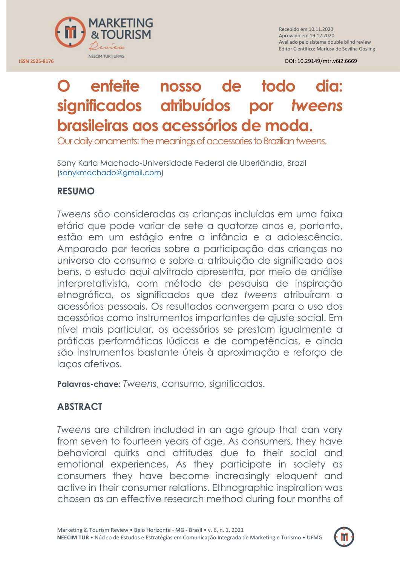

Recebido em 10.11.2020 Aprovado em 19.12.2020 Avaliado pelo sistema double blind review Editor Científico: Marlusa de Sevilha Gosling

# **O enfeite nosso de todo dia: significados atribuídos por** *tweens* **brasileiras aos acessórios de moda.**

Our daily ornaments: the meanings of accessories to Brazilian *tweens*.

Sany Karla Machado-Universidade Federal de Uberlândia, Brazil [\(sanykmachado@gmail.com\)](mailto:sanykmachado@gmail.com)

# **RESUMO**

*Tweens* são consideradas as crianças incluídas em uma faixa etária que pode variar de sete a quatorze anos e, portanto, estão em um estágio entre a infância e a adolescência. Amparado por teorias sobre a participação das crianças no universo do consumo e sobre a atribuição de significado aos bens, o estudo aqui alvitrado apresenta, por meio de análise interpretativista, com método de pesquisa de inspiração etnográfica, os significados que dez *tweens* atribuíram a acessórios pessoais. Os resultados convergem para o uso dos acessórios como instrumentos importantes de ajuste social. Em nível mais particular, os acessórios se prestam igualmente a práticas performáticas lúdicas e de competências, e ainda são instrumentos bastante úteis à aproximação e reforço de laços afetivos.

**Palavras-chave:** *Tweens*, consumo, significados.

# **ABSTRACT**

*Tweens* are children included in an age group that can vary from seven to fourteen years of age. As consumers, they have behavioral quirks and attitudes due to their social and emotional experiences. As they participate in society as consumers they have become increasingly eloquent and active in their consumer relations. Ethnographic inspiration was chosen as an effective research method during four months of

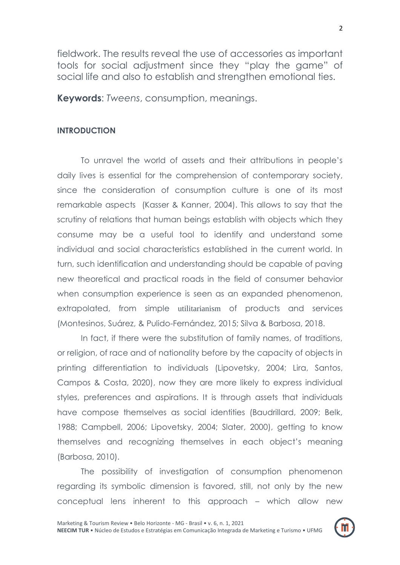fieldwork. The results reveal the use of accessories as important tools for social adjustment since they "play the game" of social life and also to establish and strengthen emotional ties.

**Keywords**: *Tweens*, consumption, meanings.

#### **INTRODUCTION**

To unravel the world of assets and their attributions in people"s daily lives is essential for the comprehension of contemporary society, since the consideration of consumption culture is one of its most remarkable aspects (Kasser & Kanner, 2004). This allows to say that the scrutiny of relations that human beings establish with objects which they consume may be a useful tool to identify and understand some individual and social characteristics established in the current world. In turn, such identification and understanding should be capable of paving new theoretical and practical roads in the field of consumer behavior when consumption experience is seen as an expanded phenomenon, extrapolated, from simple [utilitarianism](https://www.linguee.com.br/ingles-portugues/traducao/utilitarianism.html) of products and services (Montesinos, Suárez, & Pulido-Fernández, 2015; Silva & Barbosa, 2018.

In fact, if there were the substitution of family names, of traditions, or religion, of race and of nationality before by the capacity of objects in printing differentiation to individuals (Lipovetsky, 2004; Lira, Santos, Campos & Costa, 2020), now they are more likely to express individual styles, preferences and aspirations. It is through assets that individuals have compose themselves as social identities (Baudrillard, 2009; Belk, 1988; Campbell, 2006; Lipovetsky, 2004; Slater, 2000), getting to know themselves and recognizing themselves in each object"s meaning (Barbosa, 2010).

The possibility of investigation of consumption phenomenon regarding its symbolic dimension is favored, still, not only by the new conceptual lens inherent to this approach – which allow new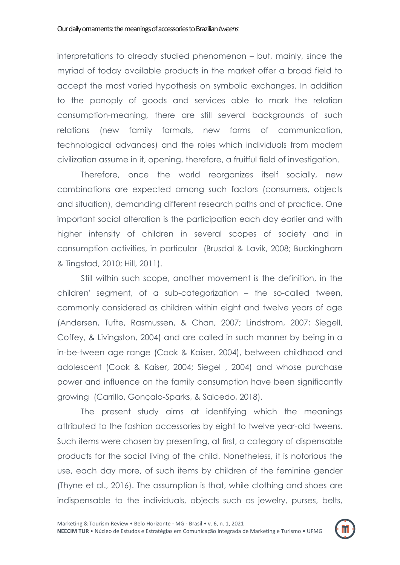interpretations to already studied phenomenon – but, mainly, since the myriad of today available products in the market offer a broad field to accept the most varied hypothesis on symbolic exchanges. In addition to the panoply of goods and services able to mark the relation consumption-meaning, there are still several backgrounds of such relations (new family formats, new forms of communication, technological advances) and the roles which individuals from modern civilization assume in it, opening, therefore, a fruitful field of investigation.

Therefore, once the world reorganizes itself socially, new combinations are expected among such factors (consumers, objects and situation), demanding different research paths and of practice. One important social alteration is the participation each day earlier and with higher intensity of children in several scopes of society and in consumption activities, in particular (Brusdal & Lavik, 2008; Buckingham & Tingstad, 2010; Hill, 2011).

Still within such scope, another movement is the definition, in the children' segment, of a sub-categorization – the so-called tween, commonly considered as children within eight and twelve years of age (Andersen, Tufte, Rasmussen, & Chan, 2007; Lindstrom, 2007; SiegelI, Coffey, & Livingston, 2004) and are called in such manner by being in a in-be-tween age range (Cook & Kaiser, 2004), between childhood and adolescent (Cook & Kaiser, 2004; Siegel , 2004) and whose purchase power and influence on the family consumption have been significantly growing (Carrillo, Gonçalo-Sparks, & Salcedo, 2018).

The present study aims at identifying which the meanings attributed to the fashion accessories by eight to twelve year-old tweens. Such items were chosen by presenting, at first, a category of dispensable products for the social living of the child. Nonetheless, it is notorious the use, each day more, of such items by children of the feminine gender (Thyne et al., 2016). The assumption is that, while clothing and shoes are indispensable to the individuals, objects such as jewelry, purses, belts,

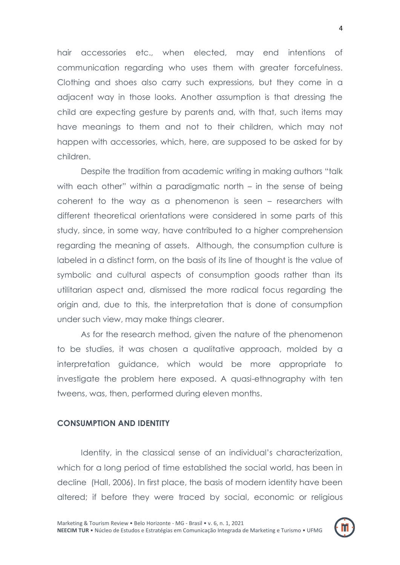hair accessories etc., when elected, may end intentions of communication regarding who uses them with greater forcefulness. Clothing and shoes also carry such expressions, but they come in a adjacent way in those looks. Another assumption is that dressing the child are expecting gesture by parents and, with that, such items may have meanings to them and not to their children, which may not happen with accessories, which, here, are supposed to be asked for by children.

Despite the tradition from academic writing in making authors "talk with each other" within a paradigmatic north – in the sense of being coherent to the way as a phenomenon is seen – researchers with different theoretical orientations were considered in some parts of this study, since, in some way, have contributed to a higher comprehension regarding the meaning of assets. Although, the consumption culture is labeled in a distinct form, on the basis of its line of thought is the value of symbolic and cultural aspects of consumption goods rather than its utilitarian aspect and, dismissed the more radical focus regarding the origin and, due to this, the interpretation that is done of consumption under such view, may make things clearer.

As for the research method, given the nature of the phenomenon to be studies, it was chosen a qualitative approach, molded by a interpretation guidance, which would be more appropriate to investigate the problem here exposed. A quasi-ethnography with ten tweens, was, then, performed during eleven months.

#### **CONSUMPTION AND IDENTITY**

Identity, in the classical sense of an individual's characterization, which for a long period of time established the social world, has been in decline (Hall, 2006). In first place, the basis of modern identity have been altered; if before they were traced by social, economic or religious

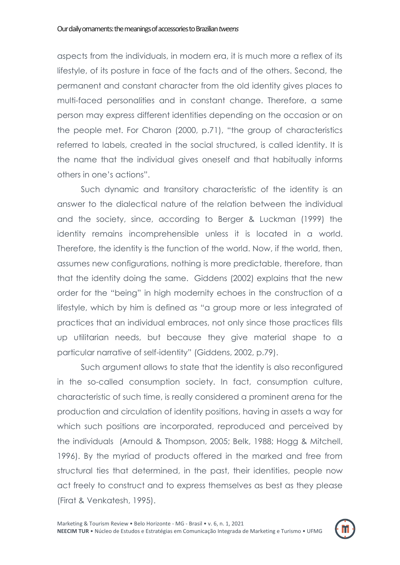aspects from the individuals, in modern era, it is much more a reflex of its lifestyle, of its posture in face of the facts and of the others. Second, the permanent and constant character from the old identity gives places to multi-faced personalities and in constant change. Therefore, a same person may express different identities depending on the occasion or on the people met. For Charon (2000, p.71), "the group of characteristics referred to labels, created in the social structured, is called identity. It is the name that the individual gives oneself and that habitually informs others in one"s actions".

Such dynamic and transitory characteristic of the identity is an answer to the dialectical nature of the relation between the individual and the society, since, according to Berger & Luckman (1999) the identity remains incomprehensible unless it is located in a world. Therefore, the identity is the function of the world. Now, if the world, then, assumes new configurations, nothing is more predictable, therefore, than that the identity doing the same. Giddens (2002) explains that the new order for the "being" in high modernity echoes in the construction of a lifestyle, which by him is defined as "a group more or less integrated of practices that an individual embraces, not only since those practices fills up utilitarian needs, but because they give material shape to a particular narrative of self-identity" (Giddens, 2002, p.79).

Such argument allows to state that the identity is also reconfigured in the so-called consumption society. In fact, consumption culture, characteristic of such time, is really considered a prominent arena for the production and circulation of identity positions, having in assets a way for which such positions are incorporated, reproduced and perceived by the individuals (Arnould & Thompson, 2005; Belk, 1988; Hogg & Mitchell, 1996). By the myriad of products offered in the marked and free from structural ties that determined, in the past, their identities, people now act freely to construct and to express themselves as best as they please (Firat & Venkatesh, 1995).

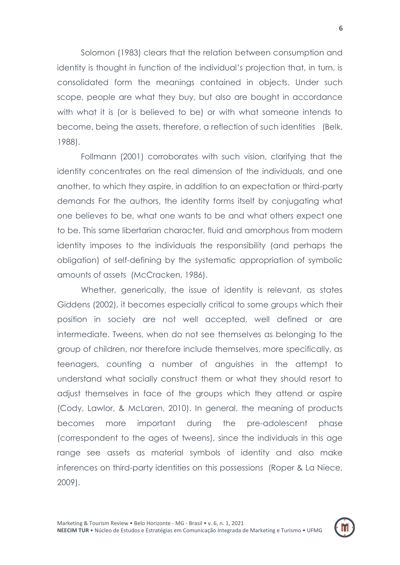Solomon (1983) clears that the relation between consumption and identity is thought in function of the individual's projection that, in turn, is consolidated form the meanings contained in objects. Under such scope, people are what they buy, but also are bought in accordance with what it is (or is believed to be) or with what someone intends to become, being the assets, therefore, a reflection of such identities (Belk, 1988).

Follmann (2001) corroborates with such vision, clarifying that the identity concentrates on the real dimension of the individuals, and one another, to which they aspire, in addition to an expectation or third-party demands For the authors, the identity forms itself by conjugating what one believes to be, what one wants to be and what others expect one to be. This same libertarian character, fluid and amorphous from modern identity imposes to the individuals the responsibility (and perhaps the obligation) of self-defining by the systematic appropriation of symbolic amounts of assets (McCracken, 1986).

Whether, generically, the issue of identity is relevant, as states Giddens (2002), it becomes especially critical to some groups which their position in society are not well accepted, well defined or are intermediate. Tweens, when do not see themselves as belonging to the group of children, nor therefore include themselves, more specifically, as teenagers, counting a number of anguishes in the attempt to understand what socially construct them or what they should resort to adjust themselves in face of the groups which they attend or aspire (Cody, Lawlor, & McLaren, 2010). In general, the meaning of products becomes more important during the pre-adolescent phase (correspondent to the ages of tweens), since the individuals in this age range see assets as material symbols of identity and also make inferences on third-party identities on this possessions (Roper & La Niece, 2009).

6

m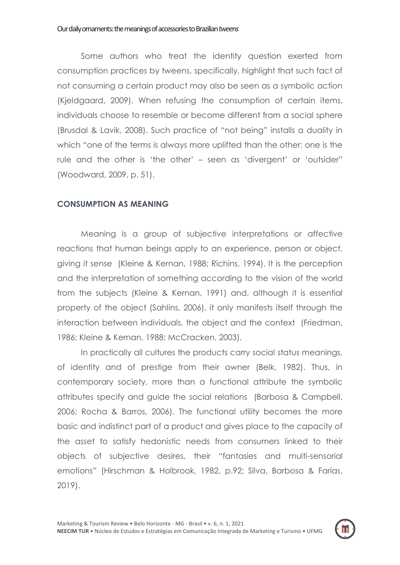Some authors who treat the identity question exerted from consumption practices by tweens, specifically, highlight that such fact of not consuming a certain product may also be seen as a symbolic action (Kjeldgaard, 2009). When refusing the consumption of certain items, individuals choose to resemble or become different from a social sphere (Brusdal & Lavik, 2008). Such practice of "not being" installs a duality in which "one of the terms is always more uplifted than the other: one is the rule and the other is "the other" – seen as "divergent" or "outsider" (Woodward, 2009, p. 51).

# **CONSUMPTION AS MEANING**

Meaning is a group of subjective interpretations or affective reactions that human beings apply to an experience, person or object, giving it sense (Kleine & Kernan, 1988; Richins, 1994). It is the perception and the interpretation of something according to the vision of the world from the subjects (Kleine & Kernan, 1991) and, although it is essential property of the object (Sahlins, 2006), it only manifests itself through the interaction between individuals, the object and the context (Friedman, 1986; Kleine & Kernan, 1988; McCracken, 2003).

In practically all cultures the products carry social status meanings, of identity and of prestige from their owner (Belk, 1982). Thus, in contemporary society, more than a functional attribute the symbolic attributes specify and guide the social relations (Barbosa & Campbell, 2006; Rocha & Barros, 2006). The functional utility becomes the more basic and indistinct part of a product and gives place to the capacity of the asset to satisfy hedonistic needs from consumers linked to their objects of subjective desires, their "fantasies and multi-sensorial emotions" (Hirschman & Holbrook, 1982, p.92; Silva, Barbosa & Farias, 2019).

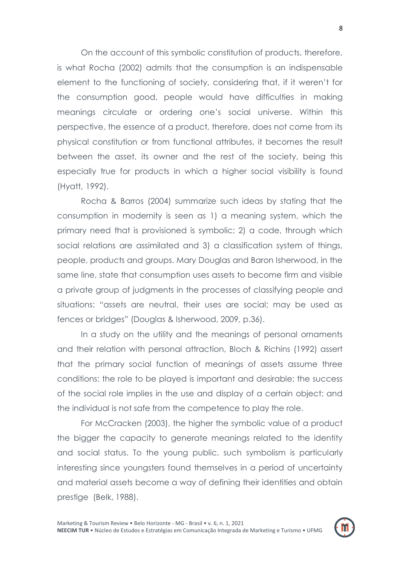On the account of this symbolic constitution of products, therefore, is what Rocha (2002) admits that the consumption is an indispensable element to the functioning of society, considering that, if it weren"t for the consumption good, people would have difficulties in making meanings circulate or ordering one"s social universe. Within this perspective, the essence of a product, therefore, does not come from its physical constitution or from functional attributes, it becomes the result between the asset, its owner and the rest of the society, being this especially true for products in which a higher social visibility is found (Hyatt, 1992).

Rocha & Barros (2004) summarize such ideas by stating that the consumption in modernity is seen as 1) a meaning system, which the primary need that is provisioned is symbolic; 2) a code, through which social relations are assimilated and 3) a classification system of things, people, products and groups. Mary Douglas and Baron Isherwood, in the same line, state that consumption uses assets to become firm and visible a private group of judgments in the processes of classifying people and situations: "assets are neutral, their uses are social; may be used as fences or bridges" (Douglas & Isherwood, 2009, p.36).

In a study on the utility and the meanings of personal ornaments and their relation with personal attraction, Bloch & Richins (1992) assert that the primary social function of meanings of assets assume three conditions: the role to be played is important and desirable; the success of the social role implies in the use and display of a certain object; and the individual is not safe from the competence to play the role.

For McCracken (2003), the higher the symbolic value of a product the bigger the capacity to generate meanings related to the identity and social status. To the young public, such symbolism is particularly interesting since youngsters found themselves in a period of uncertainty and material assets become a way of defining their identities and obtain prestige (Belk, 1988).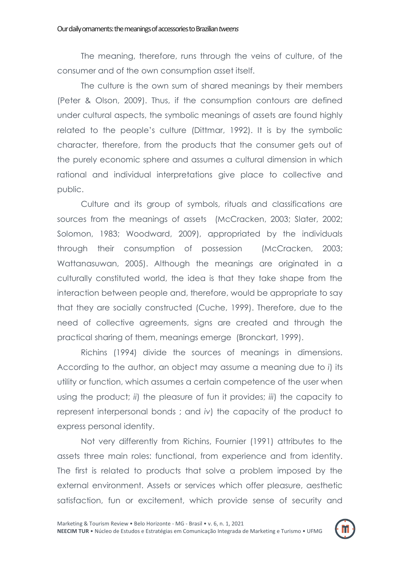The meaning, therefore, runs through the veins of culture, of the consumer and of the own consumption asset itself.

The culture is the own sum of shared meanings by their members (Peter & Olson, 2009). Thus, if the consumption contours are defined under cultural aspects, the symbolic meanings of assets are found highly related to the people's culture (Dittmar, 1992). It is by the symbolic character, therefore, from the products that the consumer gets out of the purely economic sphere and assumes a cultural dimension in which rational and individual interpretations give place to collective and public.

Culture and its group of symbols, rituals and classifications are sources from the meanings of assets (McCracken, 2003; Slater, 2002; Solomon, 1983; Woodward, 2009), appropriated by the individuals through their consumption of possession (McCracken, 2003; Wattanasuwan, 2005). Although the meanings are originated in a culturally constituted world, the idea is that they take shape from the interaction between people and, therefore, would be appropriate to say that they are socially constructed (Cuche, 1999). Therefore, due to the need of collective agreements, signs are created and through the practical sharing of them, meanings emerge (Bronckart, 1999).

Richins (1994) divide the sources of meanings in dimensions. According to the author, an object may assume a meaning due to *i*) its utility or function, which assumes a certain competence of the user when using the product; *ii*) the pleasure of fun it provides; *iii*) the capacity to represent interpersonal bonds ; and *iv*) the capacity of the product to express personal identity.

Not very differently from Richins, Fournier (1991) attributes to the assets three main roles: functional, from experience and from identity. The first is related to products that solve a problem imposed by the external environment. Assets or services which offer pleasure, aesthetic satisfaction, fun or excitement, which provide sense of security and

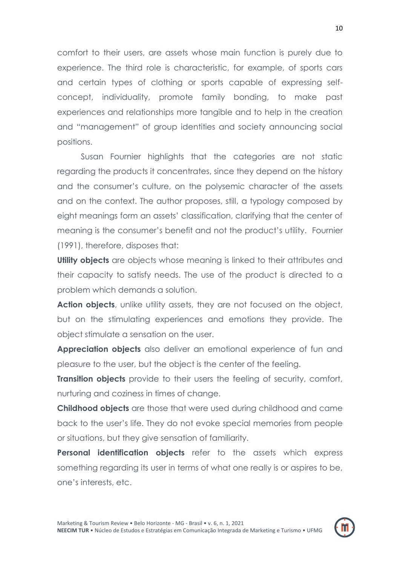comfort to their users, are assets whose main function is purely due to experience. The third role is characteristic, for example, of sports cars and certain types of clothing or sports capable of expressing selfconcept, individuality, promote family bonding, to make past experiences and relationships more tangible and to help in the creation and "management" of group identities and society announcing social positions.

Susan Fournier highlights that the categories are not static regarding the products it concentrates, since they depend on the history and the consumer"s culture, on the polysemic character of the assets and on the context. The author proposes, still, a typology composed by eight meanings form an assets" classification, clarifying that the center of meaning is the consumer"s benefit and not the product"s utility. Fournier (1991), therefore, disposes that:

**Utility objects** are objects whose meaning is linked to their attributes and their capacity to satisfy needs. The use of the product is directed to a problem which demands a solution.

**Action objects**, unlike utility assets, they are not focused on the object, but on the stimulating experiences and emotions they provide. The object stimulate a sensation on the user.

**Appreciation objects** also deliver an emotional experience of fun and pleasure to the user, but the object is the center of the feeling.

**Transition objects** provide to their users the feeling of security, comfort, nurturing and coziness in times of change.

**Childhood objects** are those that were used during childhood and came back to the user"s life. They do not evoke special memories from people or situations, but they give sensation of familiarity.

**Personal identification objects** refer to the assets which express something regarding its user in terms of what one really is or aspires to be, one"s interests, etc.

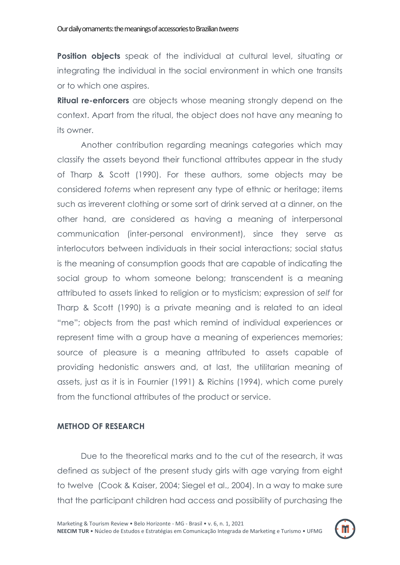**Position objects** speak of the individual at cultural level, situating or integrating the individual in the social environment in which one transits or to which one aspires.

**Ritual re-enforcers** are objects whose meaning strongly depend on the context. Apart from the ritual, the object does not have any meaning to its owner.

Another contribution regarding meanings categories which may classify the assets beyond their functional attributes appear in the study of Tharp & Scott (1990). For these authors, some objects may be considered *totems* when represent any type of ethnic or heritage; items such as irreverent clothing or some sort of drink served at a dinner, on the other hand, are considered as having a meaning of interpersonal communication (inter-personal environment), since they serve as interlocutors between individuals in their social interactions; social status is the meaning of consumption goods that are capable of indicating the social group to whom someone belong; transcendent is a meaning attributed to assets linked to religion or to mysticism; expression of *self* for Tharp & Scott (1990) is a private meaning and is related to an ideal "me"; objects from the past which remind of individual experiences or represent time with a group have a meaning of experiences memories; source of pleasure is a meaning attributed to assets capable of providing hedonistic answers and, at last, the utilitarian meaning of assets, just as it is in Fournier (1991) & Richins (1994), which come purely from the functional attributes of the product or service.

# **METHOD OF RESEARCH**

Due to the theoretical marks and to the cut of the research, it was defined as subject of the present study girls with age varying from eight to twelve (Cook & Kaiser, 2004; Siegel et al., 2004). In a way to make sure that the participant children had access and possibility of purchasing the

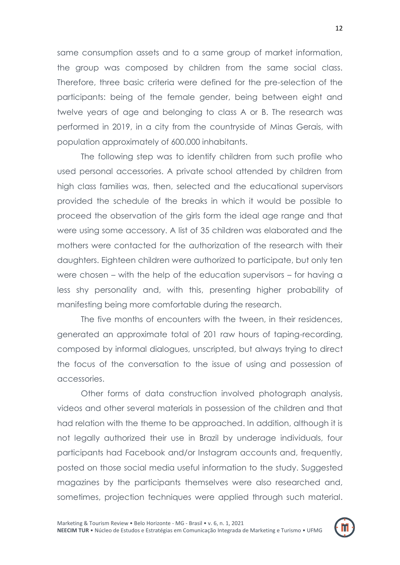same consumption assets and to a same group of market information, the group was composed by children from the same social class. Therefore, three basic criteria were defined for the pre-selection of the participants: being of the female gender, being between eight and twelve years of age and belonging to class A or B. The research was performed in 2019, in a city from the countryside of Minas Gerais, with population approximately of 600.000 inhabitants.

The following step was to identify children from such profile who used personal accessories. A private school attended by children from high class families was, then, selected and the educational supervisors provided the schedule of the breaks in which it would be possible to proceed the observation of the girls form the ideal age range and that were using some accessory. A list of 35 children was elaborated and the mothers were contacted for the authorization of the research with their daughters. Eighteen children were authorized to participate, but only ten were chosen – with the help of the education supervisors – for having a less shy personality and, with this, presenting higher probability of manifesting being more comfortable during the research.

The five months of encounters with the tween, in their residences, generated an approximate total of 201 raw hours of taping-recording, composed by informal dialogues, unscripted, but always trying to direct the focus of the conversation to the issue of using and possession of accessories.

Other forms of data construction involved photograph analysis, videos and other several materials in possession of the children and that had relation with the theme to be approached. In addition, although it is not legally authorized their use in Brazil by underage individuals, four participants had Facebook and/or Instagram accounts and, frequently, posted on those social media useful information to the study. Suggested magazines by the participants themselves were also researched and, sometimes, projection techniques were applied through such material.

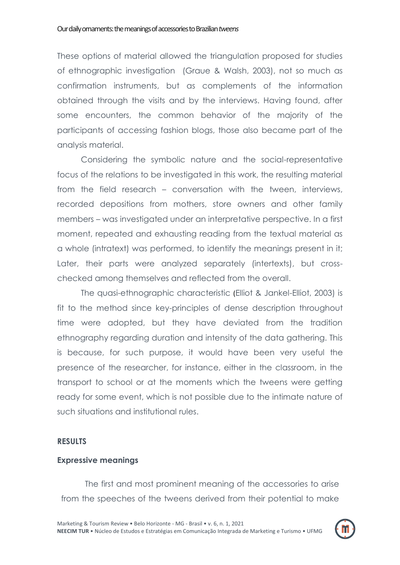These options of material allowed the triangulation proposed for studies of ethnographic investigation (Graue & Walsh, 2003), not so much as confirmation instruments, but as complements of the information obtained through the visits and by the interviews. Having found, after some encounters, the common behavior of the majority of the participants of accessing fashion blogs, those also became part of the analysis material.

Considering the symbolic nature and the social-representative focus of the relations to be investigated in this work, the resulting material from the field research – conversation with the tween, interviews, recorded depositions from mothers, store owners and other family members – was investigated under an interpretative perspective. In a first moment, repeated and exhausting reading from the textual material as a whole (intratext) was performed, to identify the meanings present in it; Later, their parts were analyzed separately (intertexts), but crosschecked among themselves and reflected from the overall.

The quasi-ethnographic characteristic (Elliot & Jankel-Elliot, 2003) is fit to the method since key-principles of dense description throughout time were adopted, but they have deviated from the tradition ethnography regarding duration and intensity of the data gathering. This is because, for such purpose, it would have been very useful the presence of the researcher, for instance, either in the classroom, in the transport to school or at the moments which the tweens were getting ready for some event, which is not possible due to the intimate nature of such situations and institutional rules.

#### **RESULTS**

#### **Expressive meanings**

The first and most prominent meaning of the accessories to arise from the speeches of the tweens derived from their potential to make

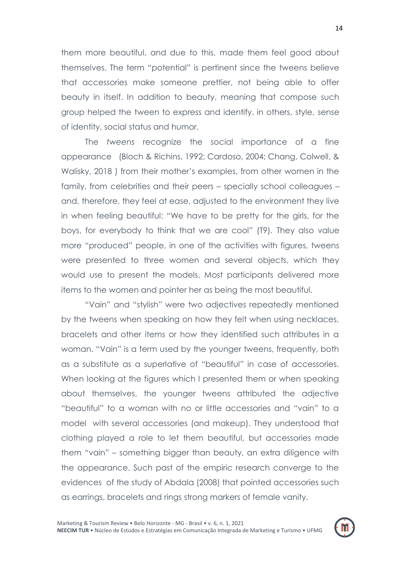them more beautiful, and due to this, made them feel good about themselves. The term "potential" is pertinent since the tweens believe that accessories make someone prettier, not being able to offer beauty in itself. In addition to beauty, meaning that compose such group helped the tween to express and identify, in others, style, sense of identity, social status and humor.

The *tweens* recognize the social importance of a fine appearance (Bloch & Richins, 1992; Cardoso, 2004; Chang, Colwell, & Walisky, 2018 ) from their mother"s examples, from other women in the family, from celebrities and their peers – specially school colleagues – and, therefore, they feel at ease, adjusted to the environment they live in when feeling beautiful: "We have to be pretty for the girls, for the boys, for everybody to think that we are cool" (T9)*.* They also value more "produced" people, in one of the activities with figures, tweens were presented to three women and several objects, which they would use to present the models. Most participants delivered more items to the women and pointer her as being the most beautiful.

"Vain" and "stylish" were two adjectives repeatedly mentioned by the tweens when speaking on how they felt when using necklaces, bracelets and other items or how they identified such attributes in a woman. "Vain" is a term used by the younger tweens, frequently, both as a substitute as a superlative of "beautiful" in case of accessories. When looking at the figures which I presented them or when speaking about themselves, the younger tweens attributed the adjective "beautiful" to a woman with no or little accessories and "vain" to a model with several accessories (and makeup). They understood that clothing played a role to let them beautiful, but accessories made them "vain" – something bigger than beauty, an extra diligence with the appearance. Such past of the empiric research converge to the evidences of the study of Abdala (2008) that pointed accessories such as earrings, bracelets and rings strong markers of female vanity.

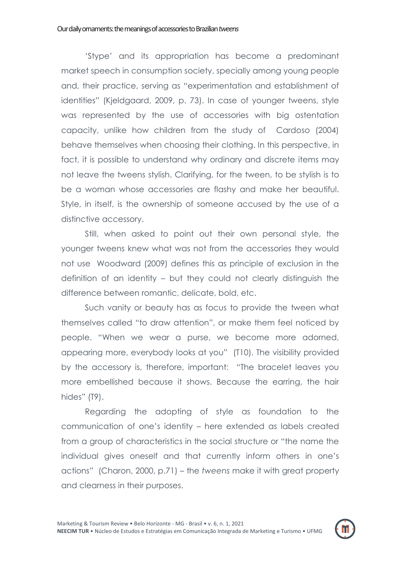"Stype" and its appropriation has become a predominant market speech in consumption society, specially among young people and, their practice, serving as "experimentation and establishment of identities" (Kjeldgaard, 2009, p. 73). In case of younger tweens, style was represented by the use of accessories with big ostentation capacity, unlike how children from the study of Cardoso (2004) behave themselves when choosing their clothing. In this perspective, in fact, it is possible to understand why ordinary and discrete items may not leave the tweens stylish. Clarifying, for the tween, to be stylish is to be a woman whose accessories are flashy and make her beautiful. Style, in itself, is the ownership of someone accused by the use of a distinctive accessory.

Still, when asked to point out their own personal style, the younger tweens knew what was not from the accessories they would not use Woodward (2009) defines this as principle of exclusion in the definition of an identity – but they could not clearly distinguish the difference between romantic, delicate, bold, etc.

Such vanity or beauty has as focus to provide the tween what themselves called "to draw attention", or make them feel noticed by people. "When we wear a purse, we become more adorned, appearing more, everybody looks at you" (T10). The visibility provided by the accessory is, therefore, important: "The bracelet leaves you more embellished because it shows. Because the earring, the hair hides" (T9).

Regarding the adopting of style as foundation to the communication of one"s identity – here extended as labels created from a group of characteristics in the social structure or "the name the individual gives oneself and that currently inform others in one"s actions" (Charon, 2000, p.71) – the *tweens* make it with great property and clearness in their purposes.

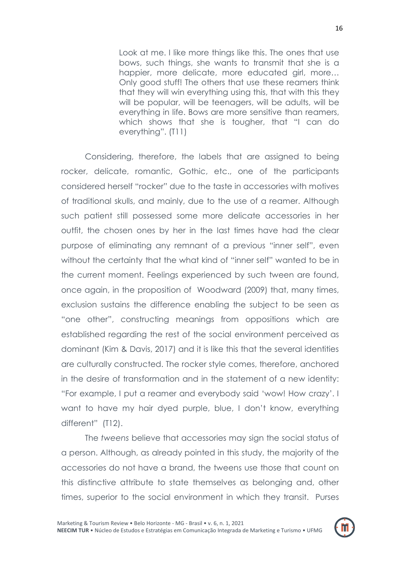Look at me. I like more things like this. The ones that use bows, such things, she wants to transmit that she is a happier, more delicate, more educated girl, more... Only good stuff! The others that use these reamers think that they will win everything using this, that with this they will be popular, will be teenagers, will be adults, will be everything in life. Bows are more sensitive than reamers, which shows that she is tougher, that "I can do everything". (T11)

Considering, therefore, the labels that are assigned to being rocker, delicate, romantic, Gothic, etc., one of the participants considered herself "rocker" due to the taste in accessories with motives of traditional skulls, and mainly, due to the use of a reamer. Although such patient still possessed some more delicate accessories in her outfit, the chosen ones by her in the last times have had the clear purpose of eliminating any remnant of a previous "inner self", even without the certainty that the what kind of "inner self" wanted to be in the current moment. Feelings experienced by such tween are found, once again, in the proposition of Woodward (2009) that, many times, exclusion sustains the difference enabling the subject to be seen as "one other", constructing meanings from oppositions which are established regarding the rest of the social environment perceived as dominant (Kim & Davis, 2017) and it is like this that the several identities are culturally constructed. The rocker style comes, therefore, anchored in the desire of transformation and in the statement of a new identity: "For example, I put a reamer and everybody said "wow! How crazy". I want to have my hair dyed purple, blue, I don"t know, everything different" (T12).

The *tweens* believe that accessories may sign the social status of a person. Although, as already pointed in this study, the majority of the accessories do not have a brand, the tweens use those that count on this distinctive attribute to state themselves as belonging and, other times, superior to the social environment in which they transit. Purses

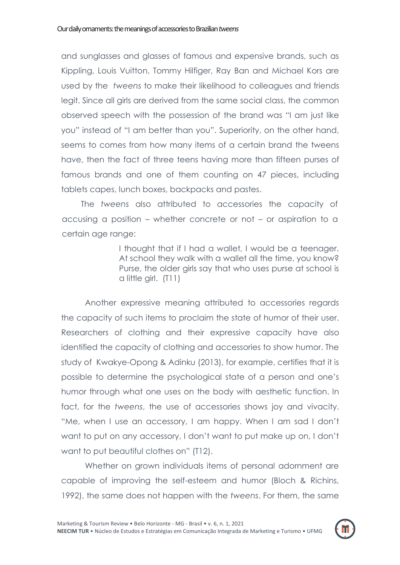and sunglasses and glasses of famous and expensive brands, such as Kippling, Louis Vuitton, Tommy Hilfiger, Ray Ban and Michael Kors are used by the *tweens* to make their likelihood to colleagues and friends legit. Since all girls are derived from the same social class, the common observed speech with the possession of the brand was "I am just like you" instead of "I am better than you". Superiority, on the other hand, seems to comes from how many items of a certain brand the tweens have, then the fact of three teens having more than fifteen purses of famous brands and one of them counting on 47 pieces, including tablets capes, lunch boxes, backpacks and pastes.

The *tweens* also attributed to accessories the capacity of accusing a position – whether concrete or not – or aspiration to a certain age range:

> I thought that if I had a wallet, I would be a teenager. At school they walk with a wallet all the time, you know? Purse, the older girls say that who uses purse at school is a little girl. (T11)

Another expressive meaning attributed to accessories regards the capacity of such items to proclaim the state of humor of their user. Researchers of clothing and their expressive capacity have also identified the capacity of clothing and accessories to show humor. The study of Kwakye-Opong & Adinku (2013), for example, certifies that it is possible to determine the psychological state of a person and one"s humor through what one uses on the body with aesthetic function. In fact, for the *tweens*, the use of accessories shows joy and vivacity. "Me, when I use an accessory, I am happy. When I am sad I don"t want to put on any accessory, I don"t want to put make up on, I don"t want to put beautiful clothes on" (T12).

Whether on grown individuals items of personal adornment are capable of improving the self-esteem and humor (Bloch & Richins, 1992), the same does not happen with the *tweens*. For them, the same

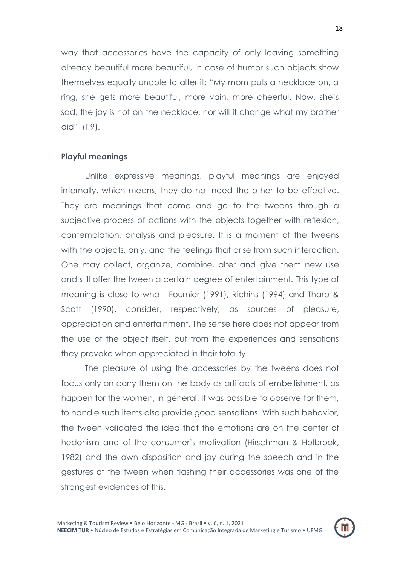way that accessories have the capacity of only leaving something already beautiful more beautiful, in case of humor such objects show themselves equally unable to alter it: "My mom puts a necklace on, a ring, she gets more beautiful, more vain, more cheerful. Now, she"s sad, the joy is not on the necklace, nor will it change what my brother did" (T 9).

#### **Playful meanings**

Unlike expressive meanings, playful meanings are enjoyed internally, which means, they do not need the other to be effective. They are meanings that come and go to the tweens through a subjective process of actions with the objects together with reflexion, contemplation, analysis and pleasure. It is a moment of the tweens with the objects, only, and the feelings that arise from such interaction. One may collect, organize, combine, alter and give them new use and still offer the tween a certain degree of entertainment. This type of meaning is close to what Fournier (1991), Richins (1994) and Tharp & Scott (1990), consider, respectively, as sources of pleasure, appreciation and entertainment. The sense here does not appear from the use of the object itself, but from the experiences and sensations they provoke when appreciated in their totality.

The pleasure of using the accessories by the tweens does not focus only on carry them on the body as artifacts of embellishment, as happen for the women, in general. It was possible to observe for them, to handle such items also provide good sensations. With such behavior, the tween validated the idea that the emotions are on the center of hedonism and of the consumer"s motivation (Hirschman & Holbrook, 1982) and the own disposition and joy during the speech and in the gestures of the tween when flashing their accessories was one of the strongest evidences of this.

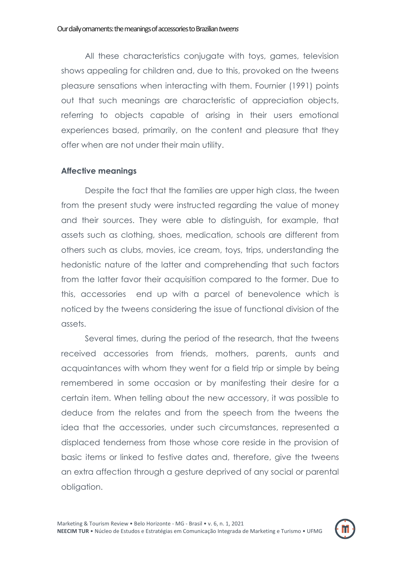All these characteristics conjugate with toys, games, television shows appealing for children and, due to this, provoked on the tweens pleasure sensations when interacting with them. Fournier (1991) points out that such meanings are characteristic of appreciation objects, referring to objects capable of arising in their users emotional experiences based, primarily, on the content and pleasure that they offer when are not under their main utility.

### **Affective meanings**

Despite the fact that the families are upper high class, the tween from the present study were instructed regarding the value of money and their sources. They were able to distinguish, for example, that assets such as clothing, shoes, medication, schools are different from others such as clubs, movies, ice cream, toys, trips, understanding the hedonistic nature of the latter and comprehending that such factors from the latter favor their acquisition compared to the former. Due to this, accessories end up with a parcel of benevolence which is noticed by the tweens considering the issue of functional division of the assets.

Several times, during the period of the research, that the tweens received accessories from friends, mothers, parents, aunts and acquaintances with whom they went for a field trip or simple by being remembered in some occasion or by manifesting their desire for a certain item. When telling about the new accessory, it was possible to deduce from the relates and from the speech from the tweens the idea that the accessories, under such circumstances, represented a displaced tenderness from those whose core reside in the provision of basic items or linked to festive dates and, therefore, give the tweens an extra affection through a gesture deprived of any social or parental obligation.

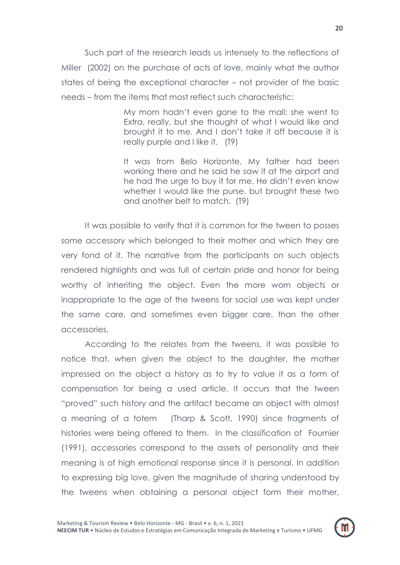Such part of the research leads us intensely to the reflections of Miller (2002) on the purchase of acts of love, mainly what the author states of being the exceptional character – not provider of the basic needs – from the items that most reflect such characteristic:

> My mom hadn"t even gone to the mall; she went to Extra, really, but she thought of what I would like and brought it to me. And I don"t take it off because it is really purple and I like it. (T9)

> It was from Belo Horizonte. My father had been working there and he said he saw it at the airport and he had the urge to buy it for me. He didn"t even know whether I would like the purse, but brought these two and another belt to match. (T9)

It was possible to verify that it is common for the tween to posses some accessory which belonged to their mother and which they are very fond of it. The narrative from the participants on such objects rendered highlights and was full of certain pride and honor for being worthy of inheriting the object. Even the more worn objects or inappropriate to the age of the tweens for social use was kept under the same care, and sometimes even bigger care, than the other accessories.

According to the relates from the tweens, it was possible to notice that, when given the object to the daughter, the mother impressed on the object a history as to try to value it as a form of compensation for being a used article. It occurs that the tween "proved" such history and the artifact became an object with almost a meaning of a totem (Tharp & Scott, 1990) since fragments of histories were being offered to them. In the classification of Fournier (1991), accessories correspond to the assets of personality and their meaning is of high emotional response since it is personal. In addition to expressing big love, given the magnitude of sharing understood by the tweens when obtaining a personal object form their mother,

20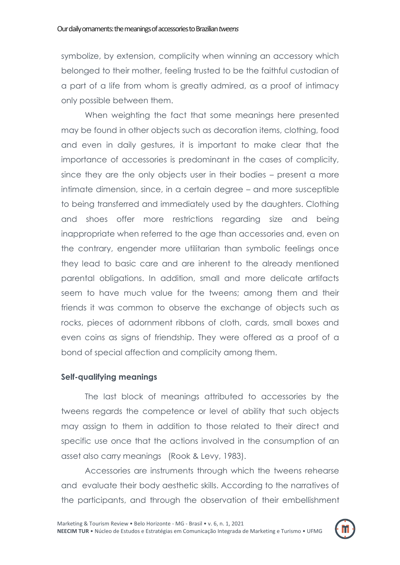symbolize, by extension, complicity when winning an accessory which belonged to their mother, feeling trusted to be the faithful custodian of a part of a life from whom is greatly admired, as a proof of intimacy only possible between them.

When weighting the fact that some meanings here presented may be found in other objects such as decoration items, clothing, food and even in daily gestures, it is important to make clear that the importance of accessories is predominant in the cases of complicity, since they are the only objects user in their bodies – present a more intimate dimension, since, in a certain degree – and more susceptible to being transferred and immediately used by the daughters. Clothing and shoes offer more restrictions regarding size and being inappropriate when referred to the age than accessories and, even on the contrary, engender more utilitarian than symbolic feelings once they lead to basic care and are inherent to the already mentioned parental obligations. In addition, small and more delicate artifacts seem to have much value for the tweens; among them and their friends it was common to observe the exchange of objects such as rocks, pieces of adornment ribbons of cloth, cards, small boxes and even coins as signs of friendship. They were offered as a proof of a bond of special affection and complicity among them.

# **Self-qualifying meanings**

The last block of meanings attributed to accessories by the tweens regards the competence or level of ability that such objects may assign to them in addition to those related to their direct and specific use once that the actions involved in the consumption of an asset also carry meanings (Rook & Levy, 1983).

Accessories are instruments through which the tweens rehearse and evaluate their body aesthetic skills. According to the narratives of the participants, and through the observation of their embellishment

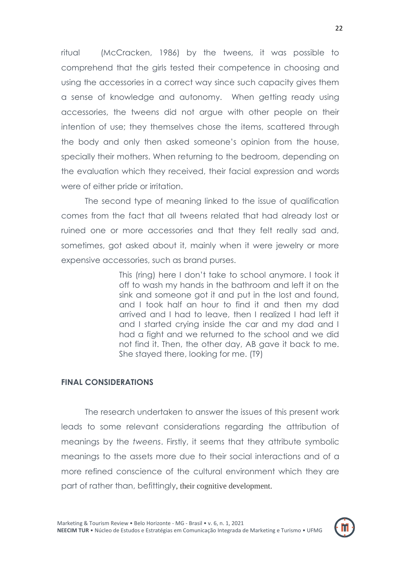ritual (McCracken, 1986) by the tweens, it was possible to comprehend that the girls tested their competence in choosing and using the accessories in a correct way since such capacity gives them a sense of knowledge and autonomy. When getting ready using accessories, the tweens did not argue with other people on their intention of use; they themselves chose the items, scattered through the body and only then asked someone's opinion from the house, specially their mothers. When returning to the bedroom, depending on the evaluation which they received, their facial expression and words were of either pride or irritation.

The second type of meaning linked to the issue of qualification comes from the fact that all tweens related that had already lost or ruined one or more accessories and that they felt really sad and, sometimes, got asked about it, mainly when it were jewelry or more expensive accessories, such as brand purses.

> This (ring) here I don"t take to school anymore. I took it off to wash my hands in the bathroom and left it on the sink and someone got it and put in the lost and found, and I took half an hour to find it and then my dad arrived and I had to leave, then I realized I had left it and I started crying inside the car and my dad and I had a fight and we returned to the school and we did not find it. Then, the other day, AB gave it back to me. She stayed there, looking for me. (T9)

#### **FINAL CONSIDERATIONS**

The research undertaken to answer the issues of this present work leads to some relevant considerations regarding the attribution of meanings by the *tweens*. Firstly, it seems that they attribute symbolic meanings to the assets more due to their social interactions and of a more refined conscience of the cultural environment which they are part of rather than, befittingly, their cognitive development.

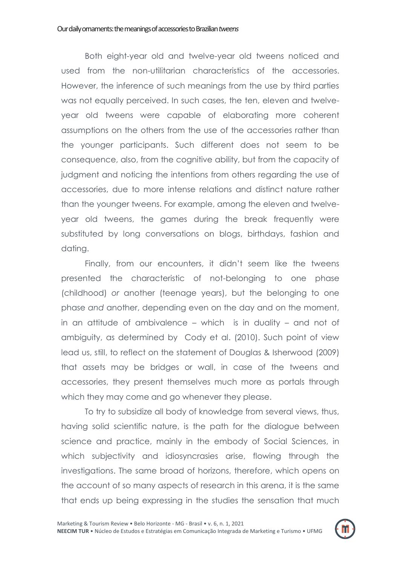Both eight-year old and twelve-year old tweens noticed and used from the non-utilitarian characteristics of the accessories. However, the inference of such meanings from the use by third parties was not equally perceived. In such cases, the ten, eleven and twelveyear old tweens were capable of elaborating more coherent assumptions on the others from the use of the accessories rather than the younger participants. Such different does not seem to be consequence, also, from the cognitive ability, but from the capacity of judgment and noticing the intentions from others regarding the use of accessories, due to more intense relations and distinct nature rather than the younger tweens. For example, among the eleven and twelveyear old tweens, the games during the break frequently were substituted by long conversations on blogs, birthdays, fashion and dating.

Finally, from our encounters, it didn"t seem like the tweens presented the characteristic of not-belonging to one phase (childhood) *or* another (teenage years), but the belonging to one phase *and* another, depending even on the day and on the moment, in an attitude of ambivalence – which is in duality – and not of ambiguity, as determined by Cody et al. (2010). Such point of view lead us, still, to reflect on the statement of Douglas & Isherwood (2009) that assets may be bridges or wall, in case of the tweens and accessories, they present themselves much more as portals through which they may come and go whenever they please.

To try to subsidize all body of knowledge from several views, thus, having solid scientific nature, is the path for the dialogue between science and practice, mainly in the embody of Social Sciences, in which subjectivity and idiosyncrasies arise, flowing through the investigations. The same broad of horizons, therefore, which opens on the account of so many aspects of research in this arena, it is the same that ends up being expressing in the studies the sensation that much

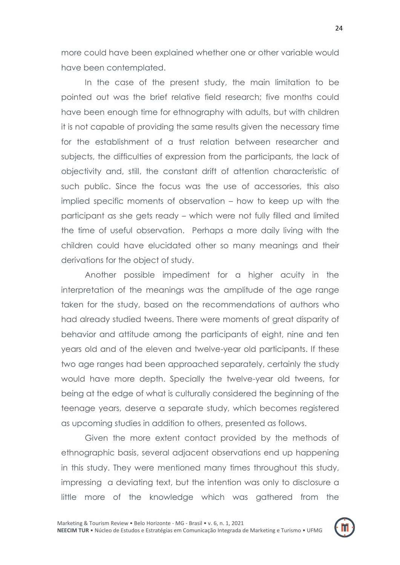more could have been explained whether one or other variable would have been contemplated.

In the case of the present study, the main limitation to be pointed out was the brief relative field research; five months could have been enough time for ethnography with adults, but with children it is not capable of providing the same results given the necessary time for the establishment of a trust relation between researcher and subjects, the difficulties of expression from the participants, the lack of objectivity and, still, the constant drift of attention characteristic of such public. Since the focus was the use of accessories, this also implied specific moments of observation – how to keep up with the participant as she gets ready – which were not fully filled and limited the time of useful observation. Perhaps a more daily living with the children could have elucidated other so many meanings and their derivations for the object of study.

Another possible impediment for a higher acuity in the interpretation of the meanings was the amplitude of the age range taken for the study, based on the recommendations of authors who had already studied tweens. There were moments of great disparity of behavior and attitude among the participants of eight, nine and ten years old and of the eleven and twelve-year old participants. If these two age ranges had been approached separately, certainly the study would have more depth. Specially the twelve-year old tweens, for being at the edge of what is culturally considered the beginning of the teenage years, deserve a separate study, which becomes registered as upcoming studies in addition to others, presented as follows.

Given the more extent contact provided by the methods of ethnographic basis, several adjacent observations end up happening in this study. They were mentioned many times throughout this study, impressing a deviating text, but the intention was only to disclosure a little more of the knowledge which was gathered from the

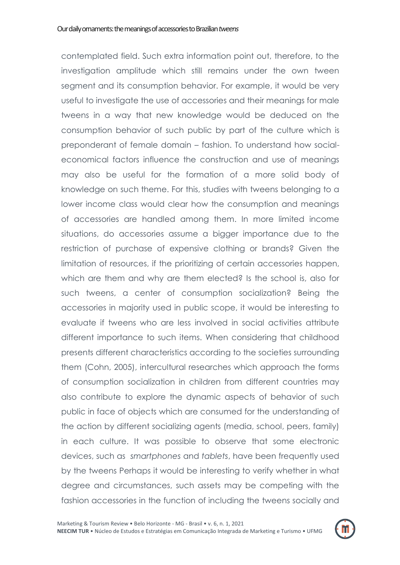contemplated field. Such extra information point out, therefore, to the investigation amplitude which still remains under the own tween segment and its consumption behavior. For example, it would be very useful to investigate the use of accessories and their meanings for male tweens in a way that new knowledge would be deduced on the consumption behavior of such public by part of the culture which is preponderant of female domain – fashion. To understand how socialeconomical factors influence the construction and use of meanings may also be useful for the formation of a more solid body of knowledge on such theme. For this, studies with tweens belonging to a lower income class would clear how the consumption and meanings of accessories are handled among them. In more limited income situations, do accessories assume a bigger importance due to the restriction of purchase of expensive clothing or brands? Given the limitation of resources, if the prioritizing of certain accessories happen, which are them and why are them elected? Is the school is, also for such tweens, a center of consumption socialization? Being the accessories in majority used in public scope, it would be interesting to evaluate if tweens who are less involved in social activities attribute different importance to such items. When considering that childhood presents different characteristics according to the societies surrounding them (Cohn, 2005), intercultural researches which approach the forms of consumption socialization in children from different countries may also contribute to explore the dynamic aspects of behavior of such public in face of objects which are consumed for the understanding of the action by different socializing agents (media, school, peers, family) in each culture. It was possible to observe that some electronic devices, such as *smartphones* and *tablets*, have been frequently used by the tweens Perhaps it would be interesting to verify whether in what degree and circumstances, such assets may be competing with the fashion accessories in the function of including the tweens socially and

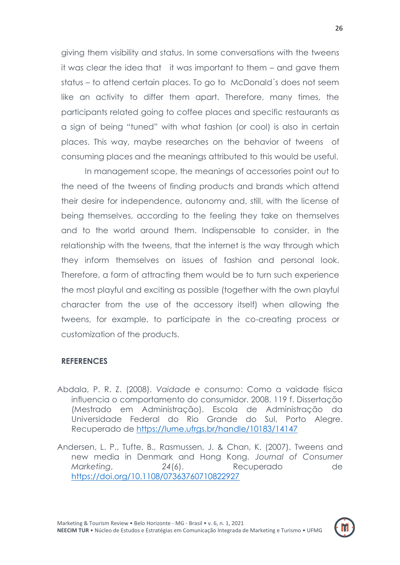giving them visibility and status. In some conversations with the tweens it was clear the idea that it was important to them – and gave them status – to attend certain places. To go to McDonald´s does not seem like an activity to differ them apart. Therefore, many times, the participants related going to coffee places and specific restaurants as a sign of being "tuned" with what fashion (or cool) is also in certain places. This way, maybe researches on the behavior of tweens of consuming places and the meanings attributed to this would be useful.

In management scope, the meanings of accessories point out to the need of the tweens of finding products and brands which attend their desire for independence, autonomy and, still, with the license of being themselves, according to the feeling they take on themselves and to the world around them. Indispensable to consider, in the relationship with the tweens, that the internet is the way through which they inform themselves on issues of fashion and personal look. Therefore, a form of attracting them would be to turn such experience the most playful and exciting as possible (together with the own playful character from the use of the accessory itself) when allowing the tweens, for example, to participate in the co-creating process or customization of the products.

# **REFERENCES**

- Abdala, P. R. Z. (2008). *Vaidade e consumo*: Como a vaidade física influencia o comportamento do consumidor. 2008. 119 f. Dissertação (Mestrado em Administração). Escola de Administração da Universidade Federal do Rio Grande do Sul, Porto Alegre. Recuperado de<https://lume.ufrgs.br/handle/10183/14147>
- Andersen, L. P., Tufte, B., Rasmussen, J. & Chan, K. (2007). Tweens and new media in Denmark and Hong Kong. *Journal of Consumer Marketing*, *24*(6). Recuperado de <https://doi.org/10.1108/07363760710822927>

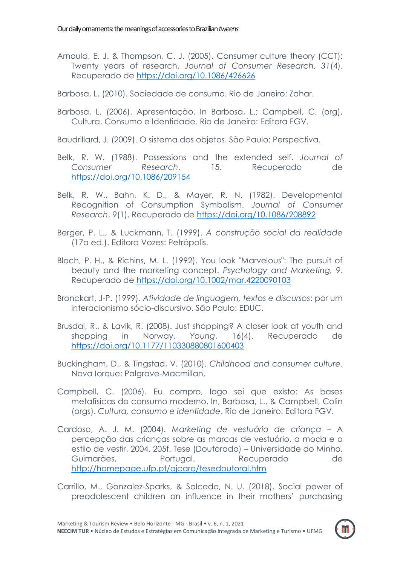- Arnould, E. J. & Thompson, C. J. (2005). Consumer culture theory (CCT): Twenty years of research. *Journal of Consumer Research*, *31*(4). Recuperado de<https://doi.org/10.1086/426626>
- Barbosa, L. (2010). Sociedade de consumo. Rio de Janeiro: Zahar.
- Barbosa, L. (2006). Apresentação. In Barbosa, L.; Campbell, C. (org), Cultura, Consumo e Identidade. Rio de Janeiro: Editora FGV.

Baudrillard, J. (2009). O sistema dos objetos. São Paulo: Perspectiva.

- Belk, R. W. (1988). Possessions and the extended self. *Journal of Consumer Research*, 15. Recuperado de <https://doi.org/10.1086/209154>
- Belk, R. W., Bahn, K. D., & Mayer, R. N. (1982). Developmental Recognition of Consumption Symbolism. *Journal of Consumer Research*, *9*(1). Recuperado de<https://doi.org/10.1086/208892>
- Berger, P. L., & Luckmann, T. (1999). *A construção social da realidade* (17a ed.). Editora Vozes: Petrópolis.
- Bloch, P. H., & Richins, M. L. (1992). You look "Marvelous": The pursuit of beauty and the marketing concept. *Psychology and Marketing, 9*. Recuperado de<https://doi.org/10.1002/mar.4220090103>
- Bronckart, J-P. (1999). *Atividade de linguagem, textos e discursos*: por um interacionismo sócio-discursivo. São Paulo: EDUC.
- Brusdal, R., & Lavik, R. (2008). Just shopping? A closer look at youth and shopping in Norway, *Young*, 16(4). Recuperado de <https://doi.org/10.1177/110330880801600403>
- Buckingham, D., & Tingstad, V. (2010). *Childhood and consumer culture*. Nova Iorque: Palgrave-Macmillan.
- Campbell, C. (2006). Eu compro, logo sei que existo: As bases metafísicas do consumo moderno. In, Barbosa, L., & Campbell, Colin (orgs). *Cultura, consumo e identidade*. Rio de Janeiro: Editora FGV.
- Cardoso, A. J. M. (2004). *Marketing de vestuário de criança*  A percepção das crianças sobre as marcas de vestuário, a moda e o estilo de vestir. 2004. 205f. Tese (Doutorado) – Universidade do Minho, Guimarães, Portugal. Recuperado de <http://homepage.ufp.pt/ajcaro/tesedoutoral.htm>
- Carrillo, M., Gonzalez-Sparks, & Salcedo, N. U. (2018). Social power of preadolescent children on influence in their mothers" purchasing

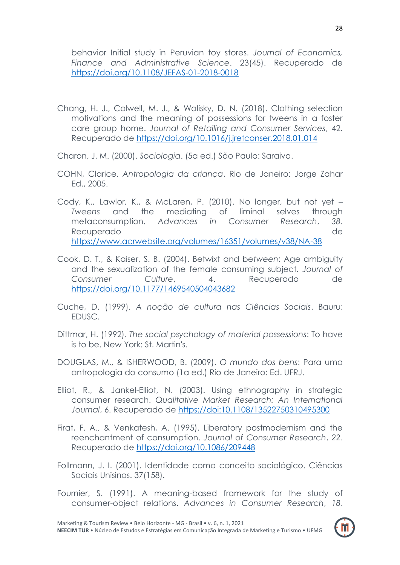behavior Initial study in Peruvian toy stores. *Journal of Economics, Finance and Administrative Science*. 23(45). Recuperado de <https://doi.org/10.1108/JEFAS-01-2018-0018>

- Chang, H. J., Colwell, M. J., & Walisky, D. N. (2018). Clothing selection motivations and the meaning of possessions for tweens in a foster care group home. *Journal of Retailing and Consumer Services*, 42. Recuperado de<https://doi.org/10.1016/j.jretconser.2018.01.014>
- Charon, J. M. (2000). *Sociologia*. (5a ed.) São Paulo: Saraiva.
- COHN, Clarice. *Antropologia da criança*. Rio de Janeiro: Jorge Zahar Ed., 2005.
- Cody, K., Lawlor, K., & McLaren, P. (2010). No longer, but not yet *Tweens* and the mediating of liminal selves through metaconsumption. *Advances in Consumer Research*, *38*. Recuperado de <https://www.acrwebsite.org/volumes/16351/volumes/v38/NA-38>
- Cook, D. T., & Kaiser, S. B. (2004). Betwixt and be*tween*: Age ambiguity and the sexualization of the female consuming subject. *Journal of Consumer Culture*, *4*. Recuperado de <https://doi.org/10.1177/1469540504043682>
- Cuche, D. (1999). *A noção de cultura nas Ciências Sociais*. Bauru: EDUSC.
- Dittmar, H. (1992). *The social psychology of material possessions*: To have is to be. New York: St. Martin's.
- DOUGLAS, M., & ISHERWOOD, B. (2009). *O mundo dos bens*: Para uma antropologia do consumo (1a ed.) Rio de Janeiro: Ed. UFRJ.
- Elliot, R., & Jankel-Elliot, N. (2003). Using ethnography in strategic consumer research. *Qualitative Market Research: An International Journal*, 6. Recuperado de<https://doi:10.1108/13522750310495300>
- Firat, F. A., & Venkatesh, A. (1995). Liberatory postmodernism and the reenchantment of consumption. *Journal of Consumer Research*, *22*. Recuperado de<https://doi.org/10.1086/209448>
- Follmann, J. I. (2001). Identidade como conceito sociológico. Ciências Sociais Unisinos. 37(158).
- Fournier, S. (1991). A meaning-based framework for the study of consumer-object relations. *Advances in Consumer Research*, *18*.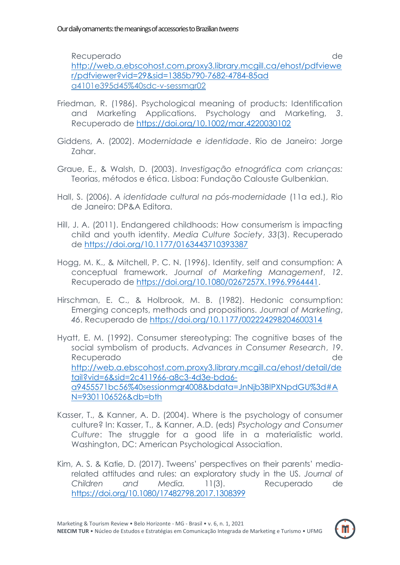Recuperado de [http://web.a.ebscohost.com.proxy3.library.mcgill.ca/ehost/pdfviewe](http://web.a.ebscohost.com.proxy3.library.mcgill.ca/ehost/pdfviewer/pdfviewer?vid=29&sid=1385b790-7682-4784-85ad) [r/pdfviewer?vid=29&sid=1385b790-7682-4784-85ad](http://web.a.ebscohost.com.proxy3.library.mcgill.ca/ehost/pdfviewer/pdfviewer?vid=29&sid=1385b790-7682-4784-85ad)  a4101e395d45%40sdc-v-sessmgr02

- Friedman, R. (1986). Psychological meaning of products: Identification and Marketing Applications. Psychology and Marketing, *3*. Recuperado de<https://doi.org/10.1002/mar.4220030102>
- Giddens, A. (2002). *Modernidade e identidade*. Rio de Janeiro: Jorge Zahar.
- Graue, E., & Walsh, D. (2003). *Investigação etnográfica com crianças:*  Teorias, métodos e ética. Lisboa: Fundação Calouste Gulbenkian.
- Hall, S. (2006). *A identidade cultural na pós-modernidade* (11a ed.), Rio de Janeiro: DP&A Editora.
- Hill, J. A. (2011). Endangered childhoods: How consumerism is impacting child and youth identity. *Media Culture Society*, *33*(3). Recuperado de<https://doi.org/10.1177/0163443710393387>
- Hogg, M. K., & Mitchell, P. C. N. (1996). Identity, self and consumption: A conceptual framework. *Journal of Marketing Management*, *12*. Recuperado de [https://doi.org/10.1080/0267257X.1996.9964441.](https://doi.org/10.1080/0267257X.1996.9964441)
- Hirschman, E. C., & Holbrook, M. B. (1982). Hedonic consumption: Emerging concepts, methods and propositions. *Journal of Marketing*, *46*. Recuperado de<https://doi.org/10.1177/002224298204600314>
- Hyatt, E. M. (1992). Consumer stereotyping: The cognitive bases of the social symbolism of products. *Advances in Consumer Research*, *19*. Recuperado de la contrada de la contrada de la contrada de la contrada de la contrada de la contrada de la contrada de la contrada de la contrada de la contrada de la contrada de la contrada de la contrada de la contrada d [http://web.a.ebscohost.com.proxy3.library.mcgill.ca/ehost/detail/de](http://web.a.ebscohost.com.proxy3.library.mcgill.ca/ehost/detail/detail?vid=6&sid=2c411966-a8c3-4d3e-bda6-a9455571bc56@sessionmgr4008&bdata=JnNjb3BlPXNpdGU%3D#AN=9301106526&db=bth) [tail?vid=6&sid=2c411966-a8c3-4d3e-bda6](http://web.a.ebscohost.com.proxy3.library.mcgill.ca/ehost/detail/detail?vid=6&sid=2c411966-a8c3-4d3e-bda6-a9455571bc56@sessionmgr4008&bdata=JnNjb3BlPXNpdGU%3D#AN=9301106526&db=bth) [a9455571bc56%40sessionmgr4008&bdata=JnNjb3BlPXNpdGU%3d#A](http://web.a.ebscohost.com.proxy3.library.mcgill.ca/ehost/detail/detail?vid=6&sid=2c411966-a8c3-4d3e-bda6-a9455571bc56@sessionmgr4008&bdata=JnNjb3BlPXNpdGU%3D#AN=9301106526&db=bth) [N=9301106526&db=bth](http://web.a.ebscohost.com.proxy3.library.mcgill.ca/ehost/detail/detail?vid=6&sid=2c411966-a8c3-4d3e-bda6-a9455571bc56@sessionmgr4008&bdata=JnNjb3BlPXNpdGU%3D#AN=9301106526&db=bth)
- Kasser, T., & Kanner, A. D. (2004). Where is the psychology of consumer culture? In: Kasser, T., & Kanner, A.D. (eds) *Psychology and Consumer Culture*: The struggle for a good life in a materialistic world. Washington, DC: American Psychological Association.
- Kim, A. S. & Katie, D. (2017). Tweens" perspectives on their parents" mediarelated attitudes and rules: an exploratory study in the US. *Journal of Children and Media.* 11(3). Recuperado de <https://doi.org/10.1080/17482798.2017.1308399>

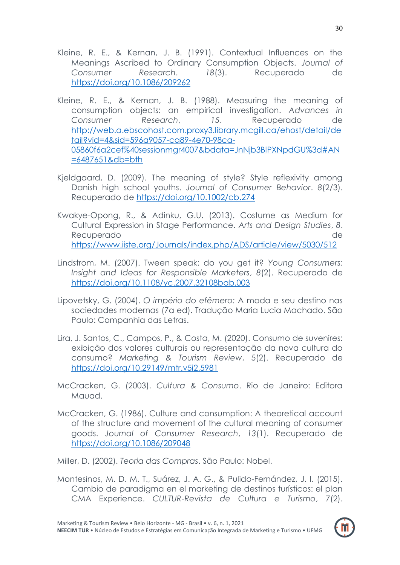- Kleine, R. E., & Kernan, J. B. (1991). Contextual Influences on the Meanings Ascribed to Ordinary Consumption Objects. *Journal of Consumer Research*. *18*(3). Recuperado de <https://doi.org/10.1086/209262>
- Kleine, R. E., & Kernan, J. B. (1988). Measuring the meaning of consumption objects: an empirical investigation. *Advances in Consumer Research*, *15*. Recuperado de [http://web.a.ebscohost.com.proxy3.library.mcgill.ca/ehost/detail/de](http://web.a.ebscohost.com.proxy3.library.mcgill.ca/ehost/detail/detail?vid=4&sid=596a9057-ca89-4e70-98ca-05860f6a2cef@sessionmgr4007&bdata=JnNjb3BlPXNpdGU%3D#AN=6487651&db=bth) [tail?vid=4&sid=596a9057-ca89-4e70-98ca-](http://web.a.ebscohost.com.proxy3.library.mcgill.ca/ehost/detail/detail?vid=4&sid=596a9057-ca89-4e70-98ca-05860f6a2cef@sessionmgr4007&bdata=JnNjb3BlPXNpdGU%3D#AN=6487651&db=bth)[05860f6a2cef%40sessionmgr4007&bdata=JnNjb3BlPXNpdGU%3d#AN](http://web.a.ebscohost.com.proxy3.library.mcgill.ca/ehost/detail/detail?vid=4&sid=596a9057-ca89-4e70-98ca-05860f6a2cef@sessionmgr4007&bdata=JnNjb3BlPXNpdGU%3D#AN=6487651&db=bth) [=6487651&db=bth](http://web.a.ebscohost.com.proxy3.library.mcgill.ca/ehost/detail/detail?vid=4&sid=596a9057-ca89-4e70-98ca-05860f6a2cef@sessionmgr4007&bdata=JnNjb3BlPXNpdGU%3D#AN=6487651&db=bth)
- Kjeldgaard, D. (2009). The meaning of style? Style reflexivity among Danish high school youths. *Journal of Consumer Behavior*. *8*(2/3). Recuperado de<https://doi.org/10.1002/cb.274>
- Kwakye-Opong, R., & Adinku, G.U. (2013). Costume as Medium for Cultural Expression in Stage Performance. *Arts and Design Studies*, *8*. Recuperado de <https://www.iiste.org/Journals/index.php/ADS/article/view/5030/512>
- Lindstrom, M. (2007). Tween speak: do you get it? *Young Consumers: Insight and Ideas for Responsible Marketers*, *8*(2). Recuperado de <https://doi.org/10.1108/yc.2007.32108bab.003>
- Lipovetsky, G. (2004). *O império do efêmero:* A moda e seu destino nas sociedades modernas (7a ed). Tradução Maria Lucia Machado. São Paulo: Companhia das Letras.
- Lira, J. Santos, C., Campos, P., & Costa, M. (2020). Consumo de suvenires: exibição dos valores culturais ou representação da nova cultura do consumo? *Marketing & Tourism Review*, 5(2). Recuperado de <https://doi.org/10.29149/mtr.v5i2.5981>
- McCracken, G. (2003). *Cultura & Consumo*. Rio de Janeiro: Editora Mauad.
- McCracken, G. (1986). Culture and consumption: A theoretical account of the structure and movement of the cultural meaning of consumer goods. *Journal of Consumer Research*, *13*(1). Recuperado de <https://doi.org/10.1086/209048>

Miller, D. (2002). *Teoria das Compras*. São Paulo: Nobel.

Montesinos, M. D. M. T., Suárez, J. A. G., & Pulido-Fernández, J. I. (2015). Cambio de paradigma en el marketing de destinos turísticos: el plan CMA Experience. *CULTUR-Revista de Cultura e Turismo*, 7(2).

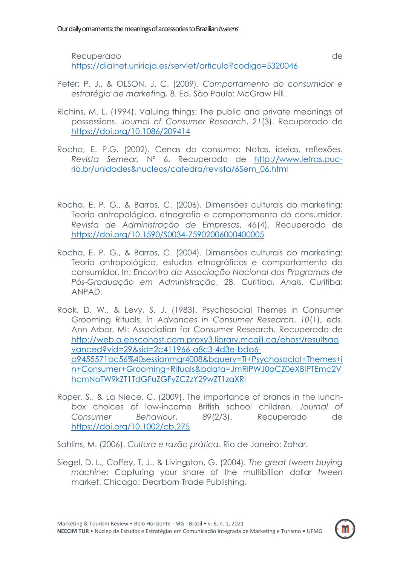Recuperado de

<https://dialnet.unirioja.es/servlet/articulo?codigo=5320046>

- Peter; P. J., & OLSON, J. C. (2009). *Comportamento do consumidor e estratégia de marketing,* 8. Ed, São Paulo: McGraw Hill.
- Richins, M. L. (1994). Valuing things: The public and private meanings of possessions. *Journal of Consumer Research*, *21*(3). Recuperado de <https://doi.org/10.1086/209414>
- Rocha, E. P.G. (2002). Cenas do consumo: Notas, ideias, reflexões. *Revista Semear,* Nº 6. Recuperado de [http://www.letras.puc](http://www.letras.puc-rio.br/unidades&nucleos/catedra/revista/6Sem_06.html)[rio.br/unidades&nucleos/catedra/revista/6Sem\\_06.html](http://www.letras.puc-rio.br/unidades&nucleos/catedra/revista/6Sem_06.html)
- Rocha, E. P. G., & Barros, C. (2006). Dimensões culturais do marketing: Teoria antropológica, etnografia e comportamento do consumidor. *Revista de Administração de Empresas*, *46*(4). Recuperado de <https://doi.org/10.1590/S0034-75902006000400005>
- Rocha, E. P. G., & Barros, C. (2004). Dimensões culturais do marketing: Teoria antropológica, estudos etnográficos e comportamento do consumidor. In: *Encontro da Associação Nacional dos Programas de Pós-Graduação em Administração*, 28, Curitiba. *Anais*. Curitiba: ANPAD.
- Rook, D. W., & Levy, S. J. (1983). Psychosocial Themes in Consumer Grooming Rituals, *in Advances in Consumer Research*, *10*(1), eds. Ann Arbor, MI: Association for Consumer Research. Recuperado de [http://web.a.ebscohost.com.proxy3.library.mcgill.ca/ehost/resultsad](http://web.a.ebscohost.com.proxy3.library.mcgill.ca/ehost/resultsadvanced?vid=29&sid=2c411966-a8c3-4d3e-bda6-a9455571bc56@sessionmgr4008&bquery=TI+Psychosocial+Themes+in+Consumer+Grooming+Rituals&bdata=JmRiPWJ0aCZ0eXBlPTEmc2VhcmNoTW9kZT1TdGFuZGFyZCZzY29wZT1zaXRl) [vanced?vid=29&sid=2c411966-a8c3-4d3e-bda6](http://web.a.ebscohost.com.proxy3.library.mcgill.ca/ehost/resultsadvanced?vid=29&sid=2c411966-a8c3-4d3e-bda6-a9455571bc56@sessionmgr4008&bquery=TI+Psychosocial+Themes+in+Consumer+Grooming+Rituals&bdata=JmRiPWJ0aCZ0eXBlPTEmc2VhcmNoTW9kZT1TdGFuZGFyZCZzY29wZT1zaXRl) [a9455571bc56%40sessionmgr4008&bquery=TI+Psychosocial+Themes+i](http://web.a.ebscohost.com.proxy3.library.mcgill.ca/ehost/resultsadvanced?vid=29&sid=2c411966-a8c3-4d3e-bda6-a9455571bc56@sessionmgr4008&bquery=TI+Psychosocial+Themes+in+Consumer+Grooming+Rituals&bdata=JmRiPWJ0aCZ0eXBlPTEmc2VhcmNoTW9kZT1TdGFuZGFyZCZzY29wZT1zaXRl) [n+Consumer+Grooming+Rituals&bdata=JmRiPWJ0aCZ0eXBlPTEmc2V](http://web.a.ebscohost.com.proxy3.library.mcgill.ca/ehost/resultsadvanced?vid=29&sid=2c411966-a8c3-4d3e-bda6-a9455571bc56@sessionmgr4008&bquery=TI+Psychosocial+Themes+in+Consumer+Grooming+Rituals&bdata=JmRiPWJ0aCZ0eXBlPTEmc2VhcmNoTW9kZT1TdGFuZGFyZCZzY29wZT1zaXRl) [hcmNoTW9kZT1TdGFuZGFyZCZzY29wZT1zaXRl](http://web.a.ebscohost.com.proxy3.library.mcgill.ca/ehost/resultsadvanced?vid=29&sid=2c411966-a8c3-4d3e-bda6-a9455571bc56@sessionmgr4008&bquery=TI+Psychosocial+Themes+in+Consumer+Grooming+Rituals&bdata=JmRiPWJ0aCZ0eXBlPTEmc2VhcmNoTW9kZT1TdGFuZGFyZCZzY29wZT1zaXRl)
- Roper, S., & La Niece, C. (2009). The importance of brands in the lunchbox choices of low-income British school children. *Journal of Consumer Behaviour*, *89*(2/3). Recuperado de <https://doi.org/10.1002/cb.275>

Sahlins, M. (2006). *Cultura e razão prática*. Rio de Janeiro: Zahar.

Siegel, D. L., Coffey, T. J., & Livingston, G. (2004). *The great tween buying machine*: Capturing your share of the multibillion dollar *tween*  market. Chicago: Dearborn Trade Publishing.